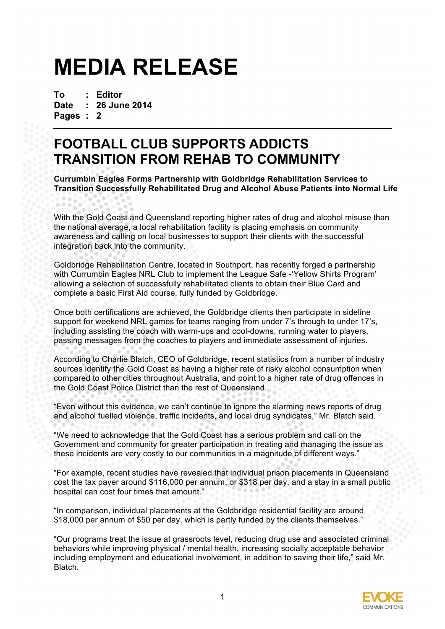# **MEDIA RELEASE**

**To : Editor Date : 26 June 2014 Pages : 2**

**CONCRETE** 

# **FOOTBALL CLUB SUPPORTS ADDICTS TRANSITION FROM REHAB TO COMMUNITY**

**Currumbin Eagles Forms Partnership with Goldbridge Rehabilitation Services to Transition Successfully Rehabilitated Drug and Alcohol Abuse Patients into Normal Life**

With the Gold Coast and Queensland reporting higher rates of drug and alcohol misuse than the national average, a local rehabilitation facility is placing emphasis on community awareness and calling on local businesses to support their clients with the successful integration back into the community.

Goldbridge Rehabilitation Centre, located in Southport, has recently forged a partnership with Currumbin Eagles NRL Club to implement the League Safe -'Yellow Shirts Program' allowing a selection of successfully rehabilitated clients to obtain their Blue Card and complete a basic First Aid course, fully funded by Goldbridge.

Once both certifications are achieved, the Goldbridge clients then participate in sideline support for weekend NRL games for teams ranging from under 7's through to under 17's, including assisting the coach with warm-ups and cool-downs, running water to players, passing messages from the coaches to players and immediate assessment of injuries.

According to Charlie Blatch, CEO of Goldbridge, recent statistics from a number of industry sources identify the Gold Coast as having a higher rate of risky alcohol consumption when compared to other cities throughout Australia, and point to a higher rate of drug offences in the Gold Coast Police District than the rest of Queensland.

"Even without this evidence, we can't continue to ignore the alarming news reports of drug and alcohol fuelled violence, traffic incidents, and local drug syndicates," Mr. Blatch said.

"We need to acknowledge that the Gold Coast has a serious problem and call on the Government and community for greater participation in treating and managing the issue as these incidents are very costly to our communities in a magnitude of different ways."

"For example, recent studies have revealed that individual prison placements in Queensland cost the tax payer around \$116,000 per annum, or \$318 per day, and a stay in a small public hospital can cost four times that amount."

"In comparison, individual placements at the Goldbridge residential facility are around \$18,000 per annum of \$50 per day, which is partly funded by the clients themselves."

"Our programs treat the issue at grassroots level, reducing drug use and associated criminal behaviors while improving physical / mental health, increasing socially acceptable behavior including employment and educational involvement, in addition to saving their life," said Mr. **Blatch**